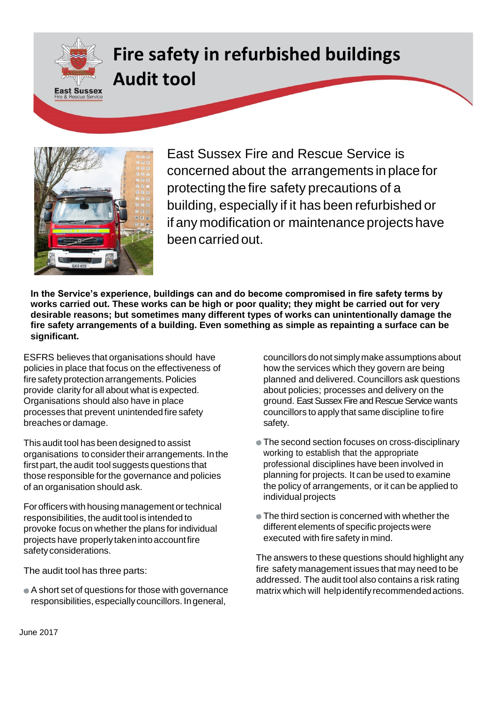

# **Fire safety in refurbished buildings Audit tool**



East Sussex Fire and Rescue Service is concerned about the arrangements in place for protecting the fire safety precautions of a building, especially if it has been refurbished or if any modification or maintenance projects have beencarried out.

**In the Service's experience, buildings can and do become compromised in fire safety terms by works carried out. These works can be high or poor quality; they might be carried out for very desirable reasons; but sometimes many different types of works can unintentionally damage the fire safety arrangements of a building. Even something as simple as repainting a surface can be significant.**

ESFRS believes that organisations should have policies in place that focus on the effectiveness of fire safety protection arrangements. Policies provide clarity for all about what is expected. Organisations should also have in place processes that prevent unintended fire safety breaches or damage.

This audit tool has been designed to assist organisations to considertheir arrangements. In the first part, the audit tool suggests questions that those responsible forthe governance and policies of an organisation should ask.

For officers with housing management or technical responsibilities, the audit tool is intended to provoke focus on whether the plans for individual projects have properly taken into account fire safety considerations.

The audit tool has three parts:

A short set of questions for those with governance responsibilities, especially councillors. Ingeneral,

councillors do not simply make assumptions about how the services which they govern are being planned and delivered. Councillors ask questions about policies; processes and delivery on the ground. East Sussex Fire and Rescue Service wants councillors to apply that same discipline to fire safety.

- The second section focuses on cross-disciplinary working to establish that the appropriate professional disciplines have been involved in planning for projects. It can be used to examine the policy of arrangements, or it can be applied to individual projects
- The third section is concerned with whether the different elements of specific projects were executed with fire safety in mind.

The answers to these questions should highlight any fire safety management issues that may need to be addressed. The audit tool also contains a risk rating matrix which will helpidentifyrecommendedactions.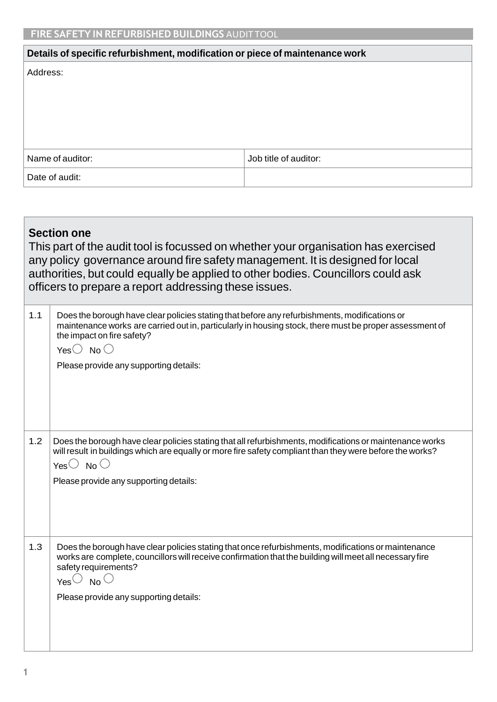| Details of specific refurbishment, modification or piece of maintenance work |                       |  |
|------------------------------------------------------------------------------|-----------------------|--|
| Address:                                                                     |                       |  |
|                                                                              |                       |  |
|                                                                              |                       |  |
|                                                                              |                       |  |
|                                                                              |                       |  |
|                                                                              |                       |  |
| Name of auditor:                                                             | Job title of auditor: |  |
| Date of audit:                                                               |                       |  |

| <b>Section one</b><br>This part of the audit tool is focussed on whether your organisation has exercised<br>any policy governance around fire safety management. It is designed for local<br>authorities, but could equally be applied to other bodies. Councillors could ask<br>officers to prepare a report addressing these issues. |                                                                                                                                                                                                                                                                                                                  |  |
|----------------------------------------------------------------------------------------------------------------------------------------------------------------------------------------------------------------------------------------------------------------------------------------------------------------------------------------|------------------------------------------------------------------------------------------------------------------------------------------------------------------------------------------------------------------------------------------------------------------------------------------------------------------|--|
| 1.1                                                                                                                                                                                                                                                                                                                                    | Does the borough have clear policies stating that before any refurbishments, modifications or<br>maintenance works are carried out in, particularly in housing stock, there must be proper assessment of<br>the impact on fire safety?<br>Yes $\bigcirc$ No $\bigcirc$<br>Please provide any supporting details: |  |
| 1.2                                                                                                                                                                                                                                                                                                                                    | Does the borough have clear policies stating that all refurbishments, modifications or maintenance works<br>will result in buildings which are equally or more fire safety compliant than they were before the works?<br>Yes $\heartsuit$ No $\heartsuit$<br>Please provide any supporting details:              |  |
| 1.3                                                                                                                                                                                                                                                                                                                                    | Does the borough have clear policies stating that once refurbishments, modifications or maintenance<br>works are complete, councillors will receive confirmation that the building will meet all necessary fire<br>safety requirements?<br>$Yes\circ$<br>$N$ o $\cup$<br>Please provide any supporting details:  |  |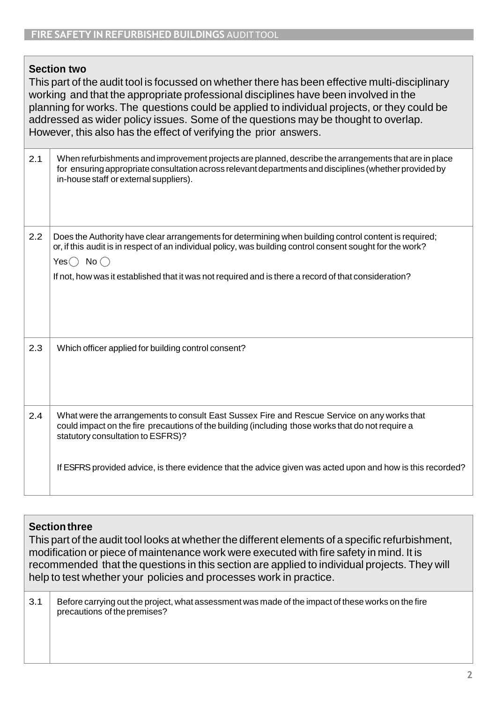#### **Section two**

This part of the audit tool is focussed on whether there has been effective multi-disciplinary working and that the appropriate professional disciplines have been involved in the planning for works. The questions could be applied to individual projects, or they could be addressed as wider policy issues. Some of the questions may be thought to overlap. However, this also has the effect of verifying the prior answers.

| 2.1 | When refurbishments and improvement projects are planned, describe the arrangements that are in place<br>for ensuring appropriate consultation across relevant departments and disciplines (whether provided by<br>in-house staff or external suppliers).                                                                                                   |
|-----|-------------------------------------------------------------------------------------------------------------------------------------------------------------------------------------------------------------------------------------------------------------------------------------------------------------------------------------------------------------|
| 2.2 | Does the Authority have clear arrangements for determining when building control content is required;<br>or, if this audit is in respect of an individual policy, was building control consent sought for the work?<br>Yes $\bigcirc$ No $\bigcirc$<br>If not, how was it established that it was not required and is there a record of that consideration? |
| 2.3 | Which officer applied for building control consent?                                                                                                                                                                                                                                                                                                         |
| 2.4 | What were the arrangements to consult East Sussex Fire and Rescue Service on any works that<br>could impact on the fire precautions of the building (including those works that do not require a<br>statutory consultation to ESFRS)?                                                                                                                       |
|     | If ESFRS provided advice, is there evidence that the advice given was acted upon and how is this recorded?                                                                                                                                                                                                                                                  |

#### **Section three**

This part of the audit tool looks at whether the different elements of a specific refurbishment, modification or piece of maintenance work were executed with fire safety in mind. It is recommended that the questions in this section are applied to individual projects. They will help to test whether your policies and processes work in practice.

3.1 Before carrying out the project, what assessment was made of the impact of these works on the fire precautions of the premises?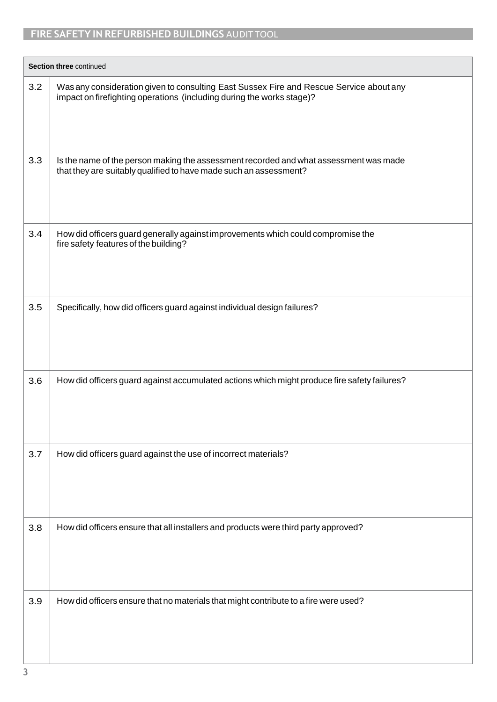### **FIRE SAFETY IN REFURBISHED BUILDINGS** AUDIT TOOL

|     | Section three continued                                                                                                                                          |  |  |
|-----|------------------------------------------------------------------------------------------------------------------------------------------------------------------|--|--|
| 3.2 | Was any consideration given to consulting East Sussex Fire and Rescue Service about any<br>impact on firefighting operations (including during the works stage)? |  |  |
| 3.3 | Is the name of the person making the assessment recorded and what assessment was made<br>that they are suitably qualified to have made such an assessment?       |  |  |
| 3.4 | How did officers guard generally against improvements which could compromise the<br>fire safety features of the building?                                        |  |  |
| 3.5 | Specifically, how did officers guard against individual design failures?                                                                                         |  |  |
| 3.6 | How did officers guard against accumulated actions which might produce fire safety failures?                                                                     |  |  |
| 3.7 | How did officers guard against the use of incorrect materials?                                                                                                   |  |  |
| 3.8 | How did officers ensure that all installers and products were third party approved?                                                                              |  |  |
| 3.9 | How did officers ensure that no materials that might contribute to a fire were used?                                                                             |  |  |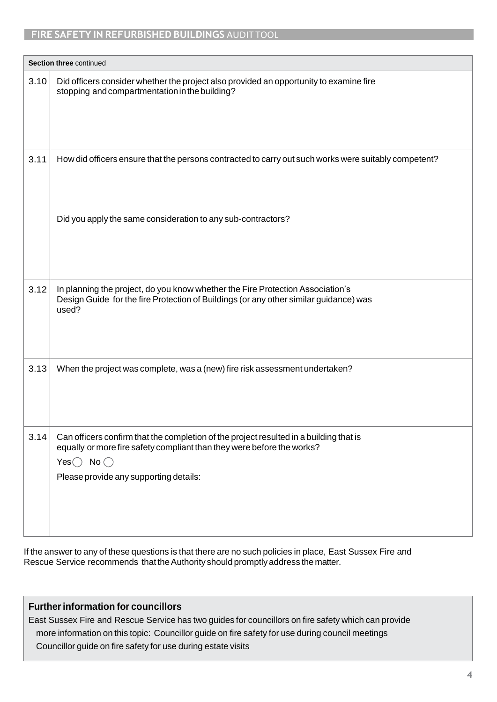#### **FIRE SAFETY IN REFURBISHED BUILDINGS** AUDIT TOOL

|      | Section three continued                                                                                                                                                                                                                    |  |  |
|------|--------------------------------------------------------------------------------------------------------------------------------------------------------------------------------------------------------------------------------------------|--|--|
| 3.10 | Did officers consider whether the project also provided an opportunity to examine fire<br>stopping and compartmentation in the building?                                                                                                   |  |  |
| 3.11 | How did officers ensure that the persons contracted to carry out such works were suitably competent?                                                                                                                                       |  |  |
|      | Did you apply the same consideration to any sub-contractors?                                                                                                                                                                               |  |  |
| 3.12 | In planning the project, do you know whether the Fire Protection Association's<br>Design Guide for the fire Protection of Buildings (or any other similar guidance) was<br>used?                                                           |  |  |
| 3.13 | When the project was complete, was a (new) fire risk assessment undertaken?                                                                                                                                                                |  |  |
| 3.14 | Can officers confirm that the completion of the project resulted in a building that is<br>equally or more fire safety compliant than they were before the works?<br>Yes $\bigcirc$ No $\bigcirc$<br>Please provide any supporting details: |  |  |

If the answer to any of these questions is that there are no such policies in place, East Sussex Fire and Rescue Service recommends that the Authority should promptly address the matter.

#### **Furtherinformation for councillors**

East Sussex Fire and Rescue Service has two guides for councillors on fire safety which can provide more information on this topic: Councillor guide on fire safety for use during council meetings Councillor guide on fire safety for use during estate visits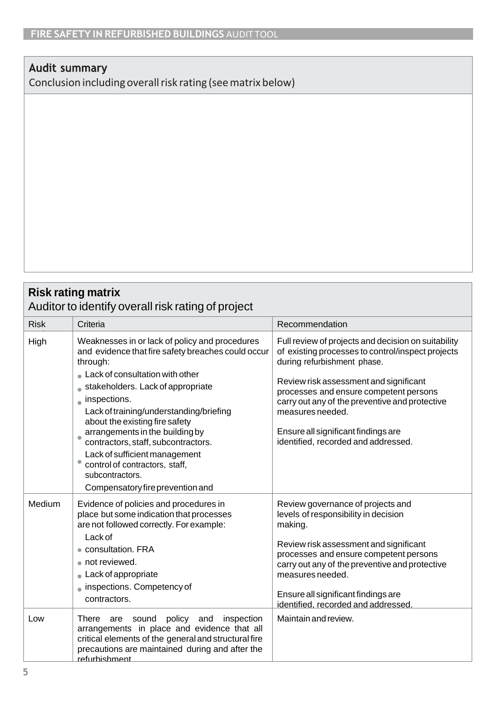#### **Audit summary**

Conclusion including overall risk rating (see matrix below)

#### **Risk rating matrix** Auditor to identify overall risk rating of project Risk High Criteria Recommendation Weaknesses in or lack of policy and procedures and evidence that fire safety breaches could occur through: **Lack of consultation with other** stakeholders. Lack of appropriate inspections. Lackof training/understanding/briefing about the existing fire safety arrangements in the buildingby contractors, staff, subcontractors. Lack of sufficient management control of contractors, staff, subcontractors. Compensatory fire prevention and protection measures not incorporated to Medium Evidence of policies and procedures in place but some indication that processes Full review of projects and decision on suitability of existing processes to control/inspect projects during refurbishment phase. Review risk assessment and significant processes and ensure competent persons carry out any of the preventive and protective measures needed. Ensureall significant findings are identified, recorded and addressed. are not followed correctly. For example: Lack of ● consultation. FRA not reviewed. **Lack of appropriate** inspections. Competency of contractors. Review governance of projects and levels of responsibility in decision making. Review risk assessment and significant processes and ensure competent persons carry out any of the preventive and protective measures needed. Ensureall significant findings are identified, recorded and addressed. Low There are sound policy and inspection arrangements in place and evidence that all critical elements of the general and structural fire precautions are maintained during and after the refurbishment. Maintain andreview.